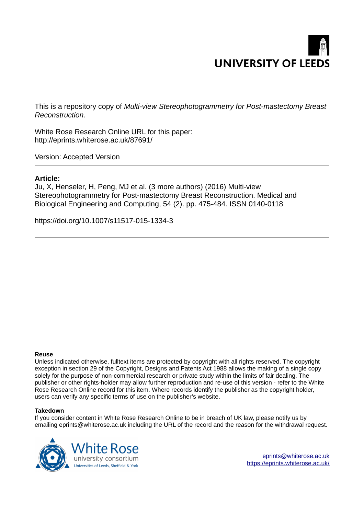# **UNIVERSITY OF LEEDS**

This is a repository copy of *Multi-view Stereophotogrammetry for Post-mastectomy Breast Reconstruction*.

White Rose Research Online URL for this paper: http://eprints.whiterose.ac.uk/87691/

Version: Accepted Version

## **Article:**

Ju, X, Henseler, H, Peng, MJ et al. (3 more authors) (2016) Multi-view Stereophotogrammetry for Post-mastectomy Breast Reconstruction. Medical and Biological Engineering and Computing, 54 (2). pp. 475-484. ISSN 0140-0118

https://doi.org/10.1007/s11517-015-1334-3

### **Reuse**

Unless indicated otherwise, fulltext items are protected by copyright with all rights reserved. The copyright exception in section 29 of the Copyright, Designs and Patents Act 1988 allows the making of a single copy solely for the purpose of non-commercial research or private study within the limits of fair dealing. The publisher or other rights-holder may allow further reproduction and re-use of this version - refer to the White Rose Research Online record for this item. Where records identify the publisher as the copyright holder, users can verify any specific terms of use on the publisher's website.

### **Takedown**

If you consider content in White Rose Research Online to be in breach of UK law, please notify us by emailing eprints@whiterose.ac.uk including the URL of the record and the reason for the withdrawal request.

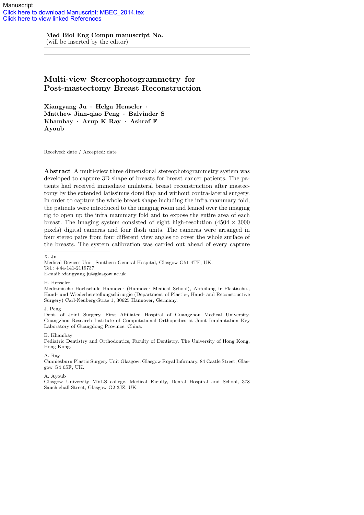Med Biol Eng Compu manuscript No. (will be inserted by the editor)

# Multi-view Stereophotogrammetry for Post-mastectomy Breast Reconstruction

Xiangyang Ju · Helga Henseler · Matthew Jian-qiao Peng · Balvinder S Khambay · Arup K Ray · Ashraf F Ayoub

Received: date / Accepted: date

Abstract A multi-view three dimensional stereophotogrammetry system was developed to capture 3D shape of breasts for breast cancer patients. The patients had received immediate unilateral breast reconstruction after mastectomy by the extended latissimus dorsi flap and without contra-lateral surgery. In order to capture the whole breast shape including the infra mammary fold, the patients were introduced to the imaging room and leaned over the imaging rig to open up the infra mammary fold and to expose the entire area of each breast. The imaging system consisted of eight high-resolution  $(4504 \times 3000$ pixels) digital cameras and four flash units. The cameras were arranged in four stereo pairs from four different view angles to cover the whole surface of the breasts. The system calibration was carried out ahead of every capture

E-mail: xiangyang.ju@glasgow.ac.uk

H. Henseler

Medizinische Hochschule Hannover (Hannover Medical School), Abteilung fr Plastische-, Hand- und Wiederherstellungschirurgie (Department of Plastic-, Hand- and Reconstructive Surgery) Carl-Neuberg-Strae 1, 30625 Hannover, Germany.

J. Peng

Dept. of Joint Surgery, First Affiliated Hospital of Guangzhou Medical University. Guangzhou Research Institute of Computational Orthopedics at Joint Implantation Key Laboratory of Guangdong Province, China.

B. Khambay

Pediatric Dentistry and Orthodontics, Faculty of Dentistry. The University of Hong Kong, Hong Kong.

A. Ray

Canniesburn Plastic Surgery Unit Glasgow, Glasgow Royal Infirmary, 84 Castle Street, Glasgow G4 0SF, UK.

A. Ayoub

Glasgow University MVLS college, Medical Faculty, Dental Hospital and School, 378 Sauchiehall Street, Glasgow G2 3JZ, UK.

X. Ju

Medical Devices Unit, Southern General Hospital, Glasgow G51 4TF, UK. Tel.: +44-141-2119737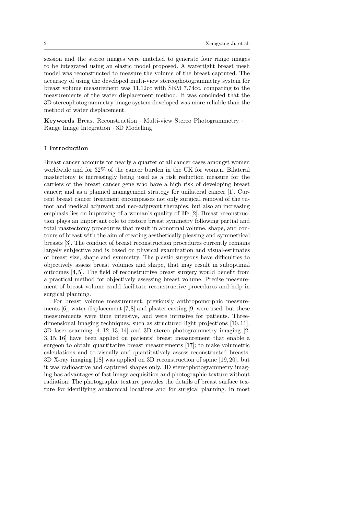session and the stereo images were matched to generate four range images to be integrated using an elastic model proposed. A watertight breast mesh model was reconstructed to measure the volume of the breast captured. The accuracy of using the developed multi-view stereophotogrammetry system for breast volume measurement was 11.12cc with SEM 7.74cc, comparing to the measurements of the water displacement method. It was concluded that the 3D stereophotogrammetry image system developed was more reliable than the method of water displacement.

Keywords Breast Reconstruction · Multi-view Stereo Photogrammetry · Range Image Integration · 3D Modelling

### 1 Introduction

Breast cancer accounts for nearly a quarter of all cancer cases amongst women worldwide and for 32% of the cancer burden in the UK for women. Bilateral mastectomy is increasingly being used as a risk reduction measure for the carriers of the breast cancer gene who have a high risk of developing breast cancer; and as a planned management strategy for unilateral cancer [1]. Current breast cancer treatment encompasses not only surgical removal of the tumor and medical adjuvant and neo-adjuvant therapies, but also an increasing emphasis lies on improving of a woman's quality of life [2]. Breast reconstruction plays an important role to restore breast symmetry following partial and total mastectomy procedures that result in abnormal volume, shape, and contours of breast with the aim of creating aesthetically pleasing and symmetrical breasts [3]. The conduct of breast reconstruction procedures currently remains largely subjective and is based on physical examination and visual-estimates of breast size, shape and symmetry. The plastic surgeons have difficulties to objectively assess breast volumes and shape, that may result in suboptimal outcomes [4, 5]. The field of reconstructive breast surgery would benefit from a practical method for objectively assessing breast volume. Precise measurement of breast volume could facilitate reconstructive procedures and help in surgical planning.

For breast volume measurement, previously anthropomorphic measurements  $[6]$ ; water displacement  $[7,8]$  and plaster casting  $[9]$  were used, but these measurements were time intensive, and were intrusive for patients. Threedimensional imaging techniques, such as structured light projections [10, 11], 3D laser scanning [4, 12, 13, 14] and 3D stereo photogrammetry imaging [2, 3, 15, 16] have been applied on patients' breast measurement that enable a surgeon to obtain quantitative breast measurements [17]; to make volumetric calculations and to visually and quantitatively assess reconstructed breasts. 3D X-ray imaging [18] was applied on 3D reconstruction of spine [19, 20], but it was radioactive and captured shapes only. 3D stereophotogrammetry imaging has advantages of fast image acquisition and photographic texture without radiation. The photographic texture provides the details of breast surface texture for identifying anatomical locations and for surgical planning. In most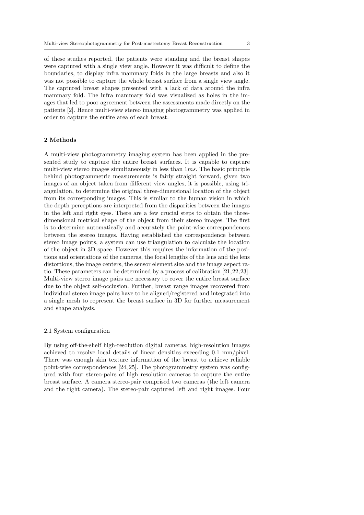of these studies reported, the patients were standing and the breast shapes were captured with a single view angle. However it was difficult to define the boundaries, to display infra mammary folds in the large breasts and also it was not possible to capture the whole breast surface from a single view angle. The captured breast shapes presented with a lack of data around the infra mammary fold. The infra mammary fold was visualized as holes in the images that led to poor agreement between the assessments made directly on the patients [2]. Hence multi-view stereo imaging photogrammetry was applied in order to capture the entire area of each breast.

### 2 Methods

A multi-view photogrammetry imaging system has been applied in the presented study to capture the entire breast surfaces. It is capable to capture multi-view stereo images simultaneously in less than  $1ms$ . The basic principle behind photogrammetric measurements is fairly straight forward, given two images of an object taken from different view angles, it is possible, using triangulation, to determine the original three-dimensional location of the object from its corresponding images. This is similar to the human vision in which the depth perceptions are interpreted from the disparities between the images in the left and right eyes. There are a few crucial steps to obtain the threedimensional metrical shape of the object from their stereo images. The first is to determine automatically and accurately the point-wise correspondences between the stereo images. Having established the correspondence between stereo image points, a system can use triangulation to calculate the location of the object in 3D space. However this requires the information of the positions and orientations of the cameras, the focal lengths of the lens and the lens distortions, the image centers, the sensor element size and the image aspect ratio. These parameters can be determined by a process of calibration [21,22,23]. Multi-view stereo image pairs are necessary to cover the entire breast surface due to the object self-occlusion. Further, breast range images recovered from individual stereo image pairs have to be aligned/registered and integrated into a single mesh to represent the breast surface in 3D for further measurement and shape analysis.

### 2.1 System configuration

By using off-the-shelf high-resolution digital cameras, high-resolution images achieved to resolve local details of linear densities exceeding 0.1 mm/pixel. There was enough skin texture information of the breast to achieve reliable point-wise correspondences [24, 25]. The photogrammetry system was configured with four stereo-pairs of high resolution cameras to capture the entire breast surface. A camera stereo-pair comprised two cameras (the left camera and the right camera). The stereo-pair captured left and right images. Four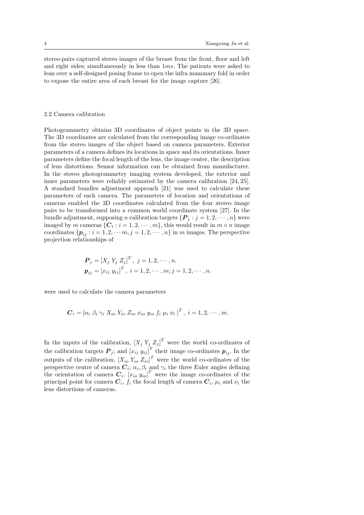stereo-pairs captured stereo images of the breast from the front, floor and left and right sides; simultaneously in less than  $1ms$ . The patients were asked to lean over a self-designed posing frame to open the infra mammary fold in order to expose the entire area of each breast for the image capture [26].

### 2.2 Camera calibration

Photogrammetry obtains 3D coordinates of object points in the 3D space. The 3D coordinates are calculated from the corresponding image co-ordinates from the stereo images of the object based on camera parameters. Exterior parameters of a camera defines its locations in space and its orientations. Inner parameters define the focal length of the lens, the image center, the description of lens distortions. Sensor information can be obtained from manufacturer. In the stereo photogrammetry imaging system developed, the exterior and inner parameters were reliably estimated by the camera calibration [24, 25]. A standard bundles adjustment approach [21] was used to calculate these parameters of each camera. The parameters of location and orientations of cameras enabled the 3D coordinates calculated from the four stereo image pairs to be transformed into a common world coordinate system [27]. In the bundle adjustment, supposing n calibration targets  $\{P_i : j = 1, 2, \dots, n\}$  were imaged by m cameras  $\{C_i : i = 1, 2, \cdots, m\}$ , this would result in  $m \times n$  image coordinates  $\{p_{ij} : i = 1, 2, \cdots, n\} = 1, 2, \cdots, n\}$  in m images. The perspective projection relationships of

$$
\mathbf{P}_{j} = [X_{j} \ Y_{j} \ Z_{j}]^{T}, \ j = 1, 2, \cdots, n.
$$

$$
\mathbf{p}_{ij} = [x_{ij} \ y_{ij}]^{T}, \ i = 1, 2, \cdots, m; j = 1, 2, \cdots, n.
$$

were used to calculate the camera parameters

$$
\mathbf{C}_{i} = \left[ \alpha_{i} \; \beta_{i} \; \gamma_{i} \; X_{io} \; Y_{io} \; Z_{io} \; x_{io} \; y_{io} \; f_{i} \; \mu_{i} \; \nu_{i} \; \right]^{T}, \; i = 1, 2, \cdots, m.
$$

In the inputs of the calibration,  $[X_j Y_j Z_j ]^T$  were the world co-ordinates of the calibration targets  $P_j$ ; and  $[x_{ij} y_{ij}]^T$  their image co-ordinates  $p_{ij}$ . In the outputs of the calibration,  $[X_{io} Y_{io} Z_{io}]^T$  were the world co-ordinates of the perspective centre of camera  $C_i$ ;  $\alpha_i$ ,  $\beta_i$  and  $\gamma_i$  the three Euler angles defining the orientation of camera  $C_i$ .  $[x_{io} y_{io}]^T$  were the image co-ordinates of the principal point for camera  $C_i$ ,  $f_i$  the focal length of camera  $C_i$ ,  $\mu_i$  and  $\nu_i$  the lens distortions of cameras.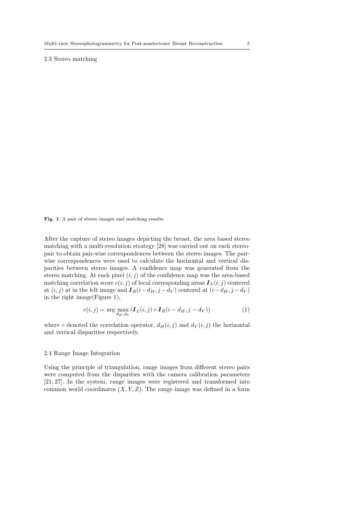### 2.3 Stereo matching

Fig. 1 A pair of stereo images and matching results

After the capture of stereo images depicting the breast, the area based stereo matching with a multi-resolution strategy [28] was carried out on each stereopair to obtain pair-wise correspondences between the stereo images. The pairwise correspondences were used to calculate the horizontal and vertical disparities between stereo images. A confidence map was generated from the stereo matching. At each pixel  $(i, j)$  of the confidence map was the area-based matching correlation score  $c(i, j)$  of local corresponding areas  $\boldsymbol{I}_L(i, j)$  centered at  $(i, j)$  at in the left image and  $I_R(i-d_H, j-d_V)$  centered at  $(i-d_H, j-d_V)$ in the right image(Figure 1),

$$
c(i,j) = \arg\max_{d_H, d_V} (\mathbf{I}_L(i,j) \circ \mathbf{I}_R(i - d_H, j - d_V))
$$
 (1)

where  $\circ$  denoted the correlation operator,  $d_H(i, j)$  and  $d_V(i, j)$  the horizontal and vertical disparities respectively.

### 2.4 Range Image Integration

Using the principle of triangulation, range images from different stereo pairs were computed from the disparities with the camera calibration parameters [21, 27]. In the system, range images were registered and transformed into common world coordinates  $(X, Y, Z)$ . The range image was defined in a form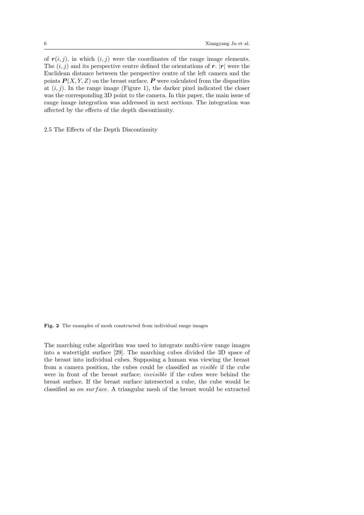of  $r(i, j)$ , in which  $(i, j)$  were the coordinates of the range image elements. The  $(i, j)$  and its perspective centre defined the orientations of r.  $|r|$  were the Euclidean distance between the perspective centre of the left camera and the points  $P(X, Y, Z)$  on the breast surface. P were calculated from the disparities at  $(i, j)$ . In the range image (Figure 1), the darker pixel indicated the closer was the corresponding 3D point to the camera. In this paper, the main issue of range image integration was addressed in next sections. The integration was affected by the effects of the depth discontinuity.

2.5 The Effects of the Depth Discontinuity

Fig. 2 The examples of mesh constructed from individual range images

The marching cube algorithm was used to integrate multi-view range images into a watertight surface [29]. The marching cubes divided the 3D space of the breast into individual cubes. Supposing a human was viewing the breast from a camera position, the cubes could be classified as visible if the cube were in front of the breast surface; invisible if the cubes were behind the breast surface. If the breast surface intersected a cube, the cube would be classified as on surface. A triangular mesh of the breast would be extracted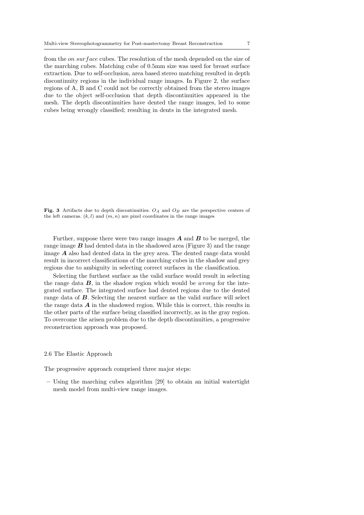from the *on surface* cubes. The resolution of the mesh depended on the size of the marching cubes. Matching cube of 0.5mm size was used for breast surface extraction. Due to self-occlusion, area based stereo matching resulted in depth discontinuity regions in the individual range images. In Figure 2, the surface regions of A, B and C could not be correctly obtained from the stereo images due to the object self-occlusion that depth discontinuities appeared in the mesh. The depth discontinuities have dented the range images, led to some cubes being wrongly classified; resulting in dents in the integrated mesh.

Fig. 3 Artifacts due to depth discontinuities.  $O_A$  and  $O_B$  are the perspective centers of the left cameras.  $(k, l)$  and  $(m, n)$  are pixel coordinates in the range images

Further, suppose there were two range images  $A$  and  $B$  to be merged, the range image  $\boldsymbol{B}$  had dented data in the shadowed area (Figure 3) and the range image  $\boldsymbol{A}$  also had dented data in the grey area. The dented range data would result in incorrect classifications of the marching cubes in the shadow and grey regions due to ambiguity in selecting correct surfaces in the classification.

Selecting the furthest surface as the valid surface would result in selecting the range data  $\boldsymbol{B}$ , in the shadow region which would be *wrong* for the integrated surface. The integrated surface had dented regions due to the dented range data of B. Selecting the nearest surface as the valid surface will select the range data  $\boldsymbol{A}$  in the shadowed region. While this is correct, this results in the other parts of the surface being classified incorrectly, as in the gray region. To overcome the arisen problem due to the depth discontinuities, a progressive reconstruction approach was proposed.

### 2.6 The Elastic Approach

The progressive approach comprised three major steps:

– Using the marching cubes algorithm [29] to obtain an initial watertight mesh model from multi-view range images.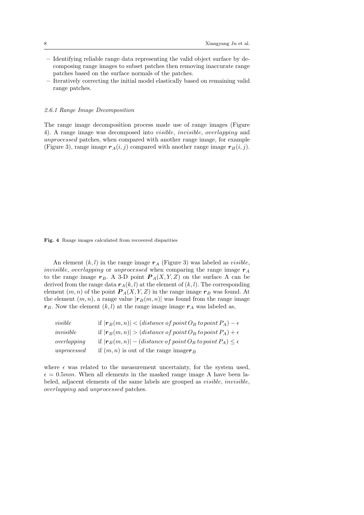- Identifying reliable range data representing the valid object surface by decomposing range images to subset patches then removing inaccurate range patches based on the surface normals of the patches.
- Iteratively correcting the initial model elastically based on remaining valid range patches.

### 2.6.1 Range Image Decomposition

The range image decomposition process made use of range images (Figure 4). A range image was decomposed into visible, invisible, overlapping and unprocessed patches, when compared with another range image, for example (Figure 3), range image  $r_A(i, j)$  compared with another range image  $r_B(i, j)$ .

Fig. 4 Range images calculated from recovered disparities

An element  $(k, l)$  in the range image  $r_A$  (Figure 3) was labeled as *visible*, *invisible, overlapping* or *unprocessed* when comparing the range image  $r_A$ to the range image  $r_B$ . A 3-D point  $P_A(X, Y, Z)$  on the surface A can be derived from the range data  $r_A(k, l)$  at the element of  $(k, l)$ . The corresponding element  $(m, n)$  of the point  $P_A(X, Y, Z)$  in the range image  $r_B$  was found. At the element  $(m, n)$ , a range value  $|\mathbf{r}_B(m, n)|$  was found from the range image  $r_B$ . Now the element  $(k, l)$  at the range image image  $r_A$  was labeled as,

| visible     | if $ \mathbf{r}_B(m,n)  < (distance\ of\ point\ O_B\ to\ point\ P_A) - \epsilon$     |
|-------------|--------------------------------------------------------------------------------------|
| invisible   | if $ \mathbf{r}_B(m,n)  > (distance\ of\ point\ O_B\ to\ point\ P_A) + \epsilon$     |
| overlapping | if $ \mathbf{r}_B(m,n) $ – (distance of point $O_B$ to point $P_A$ ) $\leq \epsilon$ |
| unprocessed | if $(m, n)$ is out of the range imager <sub>B</sub>                                  |

where  $\epsilon$  was related to the measurement uncertainty, for the system used,  $\epsilon = 0.5 \, mm$ . When all elements in the masked range image A have been labeled, adjacent elements of the same labels are grouped as visible, invisible, overlapping and unprocessed patches.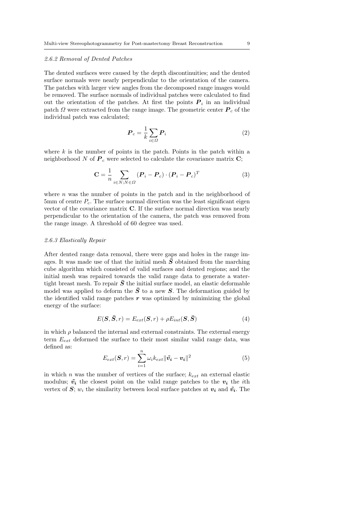### 2.6.2 Removal of Dented Patches

The dented surfaces were caused by the depth discontinuities; and the dented surface normals were nearly perpendicular to the orientation of the camera. The patches with larger view angles from the decomposed range images would be removed. The surface normals of individual patches were calculated to find out the orientation of the patches. At first the points  $P_i$  in an individual patch  $\Omega$  were extracted from the range image. The geometric center  $P_c$  of the individual patch was calculated;

$$
\boldsymbol{P}_c = \frac{1}{k} \sum_{i \in \Omega} \boldsymbol{P}_i \tag{2}
$$

where  $k$  is the number of points in the patch. Points in the patch within a neighborhood N of  $P_c$  were selected to calculate the covariance matrix C;

$$
\mathbf{C} = \frac{1}{n} \sum_{i \in N; N \in \Omega} (\boldsymbol{P}_i - \boldsymbol{P}_c) \cdot (\boldsymbol{P}_i - \boldsymbol{P}_c)^T
$$
(3)

where  $n$  was the number of points in the patch and in the neighborhood of 5mm of centre  $P_c$ . The surface normal direction was the least significant eigen vector of the covariance matrix C. If the surface normal direction was nearly perpendicular to the orientation of the camera, the patch was removed from the range image. A threshold of 60 degree was used.

### 2.6.3 Elastically Repair

After dented range data removal, there were gaps and holes in the range images. It was made use of that the initial mesh  $\bar{S}$  obtained from the marching cube algorithm which consisted of valid surfaces and dented regions; and the initial mesh was repaired towards the valid range data to generate a watertight breast mesh. To repair  $\bar{S}$  the initial surface model, an elastic deformable model was applied to deform the  $\bar{S}$  to a new S. The deformation guided by the identified valid range patches  $r$  was optimized by minimizing the global energy of the surface:

$$
E(\mathbf{S}, \bar{\mathbf{S}}, r) = E_{ext}(\mathbf{S}, r) + \rho E_{int}(\mathbf{S}, \bar{\mathbf{S}})
$$
(4)

in which  $\rho$  balanced the internal and external constraints. The external energy term  $E_{ext}$  deformed the surface to their most similar valid range data, was defined as:

$$
E_{ext}(\boldsymbol{S}, r) = \sum_{i=1}^{n} \omega_i k_{ext} ||\tilde{\boldsymbol{v}_i} - \boldsymbol{v}_i||^2
$$
\n(5)

in which n was the number of vertices of the surface;  $k_{ext}$  an external elastic modulus;  $\tilde{v}_i$  the closest point on the valid range patches to the  $v_i$  the *i*th vertex of S;  $w_i$  the similarity between local surface patches at  $v_i$  and  $\tilde{v_i}$ . The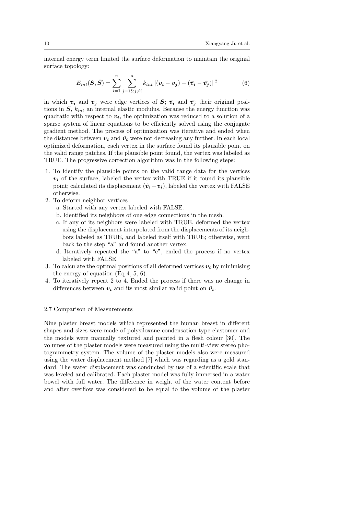internal energy term limited the surface deformation to maintain the original surface topology:

$$
E_{int}(\mathbf{S}, \bar{\mathbf{S}}) = \sum_{i=1}^{n} \sum_{j=1 \& j \neq i}^{n} k_{int} ||(\mathbf{v}_i - \mathbf{v}_j) - (\bar{\mathbf{v}}_i - \bar{\mathbf{v}}_j)||^2
$$
(6)

in which  $v_i$  and  $v_j$  were edge vertices of  $S$ ;  $\bar{v}_i$  and  $\bar{v}_j$  their original positions in  $\overline{S}$ ,  $k_{int}$  an internal elastic modulus. Because the energy function was quadratic with respect to  $v_i$ , the optimization was reduced to a solution of a sparse system of linear equations to be efficiently solved using the conjugate gradient method. The process of optimization was iterative and ended when the distances between  $v_i$  and  $\tilde{v}_i$  were not decreasing any further. In each local optimized deformation, each vertex in the surface found its plausible point on the valid range patches. If the plausible point found, the vertex was labeled as TRUE. The progressive correction algorithm was in the following steps:

- 1. To identify the plausible points on the valid range data for the vertices  $v_i$  of the surface; labeled the vertex with TRUE if it found its plausible point; calculated its displacement  $(\tilde{v}_i - v_i)$ , labeled the vertex with FALSE otherwise.
- 2. To deform neighbor vertices
	- a. Started with any vertex labeled with FALSE.
	- b. Identified its neighbors of one edge connections in the mesh.
	- c. If any of its neighbors were labeled with TRUE, deformed the vertex using the displacement interpolated from the displacements of its neighbors labeled as TRUE, and labeled itself with TRUE; otherwise, went back to the step "a" and found another vertex.
	- d. Iteratively repeated the "a" to "c", ended the process if no vertex labeled with FALSE.
- 3. To calculate the optimal positions of all deformed vertices  $v_i$  by minimising the energy of equation (Eq 4, 5, 6).
- 4. To iteratively repeat 2 to 4. Ended the process if there was no change in differences between  $v_i$  and its most similar valid point on  $\tilde{v}_i$ .

### 2.7 Comparison of Measurements

Nine plaster breast models which represented the human breast in different shapes and sizes were made of polysiloxane condensation-type elastomer and the models were manually textured and painted in a flesh colour [30]. The volumes of the plaster models were measured using the multi-view stereo photogrammetry system. The volume of the plaster models also were measured using the water displacement method [7] which was regarding as a gold standard. The water displacement was conducted by use of a scientific scale that was leveled and calibrated. Each plaster model was fully immersed in a water bowel with full water. The difference in weight of the water content before and after overflow was considered to be equal to the volume of the plaster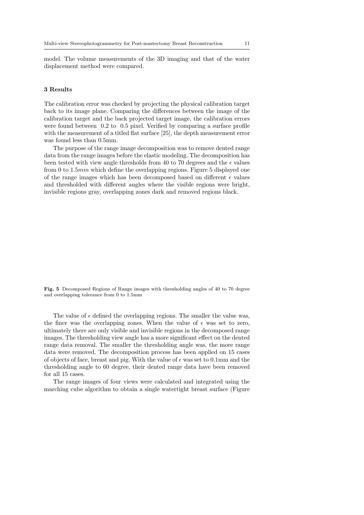model. The volume measurements of the 3D imaging and that of the water displacement method were compared.

### 3 Results

The calibration error was checked by projecting the physical calibration target back to its image plane. Comparing the differences between the image of the calibration target and the back projected target image, the calibration errors were found between 0.2 to 0.5 pixel. Verified by comparing a surface profile with the measurement of a titled flat surface [25], the depth measurement error was found less than 0.5mm.

The purpose of the range image decomposition was to remove dented range data from the range images before the elastic modeling. The decomposition has been tested with view angle thresholds from 40 to 70 degrees and the  $\epsilon$  values from 0 to 1.5mm which define the overlapping regions. Figure 5 displayed one of the range images which has been decomposed based on different  $\epsilon$  values and thresholded with different angles where the visible regions were bright, invisible regions gray, overlapping zones dark and removed regions black.

Fig. 5 Decomposed Regions of Range images with thresholding angles of 40 to 70 degree and overlapping tolerance from 0 to 1.5mm

The value of  $\epsilon$  defined the overlapping regions. The smaller the value was, the finer was the overlapping zones. When the value of  $\epsilon$  was set to zero, ultimately there are only visible and invisible regions in the decomposed range images. The thresholding view angle has a more significant effect on the dented range data removal. The smaller the thresholding angle was, the more range data were removed. The decomposition process has been applied on 15 cases of objects of face, breast and pig. With the value of  $\epsilon$  was set to 0.1mm and the thresholding angle to 60 degree, their dented range data have been removed for all 15 cases.

The range images of four views were calculated and integrated using the marching cube algorithm to obtain a single watertight breast surface (Figure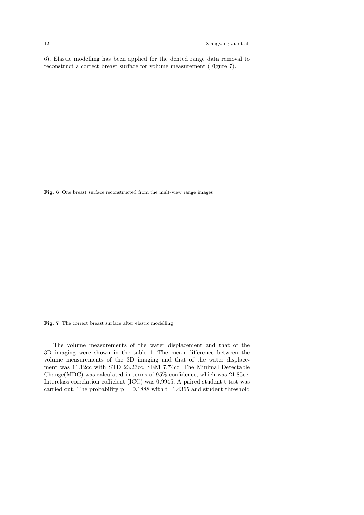6). Elastic modelling has been applied for the dented range data removal to reconstruct a correct breast surface for volume measurement (Figure 7).

Fig. 6 One breast surface reconstructed from the mult-view range images

Fig. 7 The correct breast surface after elastic modelling

The volume measurements of the water displacement and that of the 3D imaging were shown in the table 1. The mean difference between the volume measurements of the 3D imaging and that of the water displacement was 11.12cc with STD 23.23cc, SEM 7.74cc. The Minimal Detectable Change(MDC) was calculated in terms of 95% confidence, which was 21.85cc. Interclass correlation cofficient (ICC) was 0.9945. A paired student t-test was carried out. The probability  $p = 0.1888$  with  $t=1.4365$  and student threshold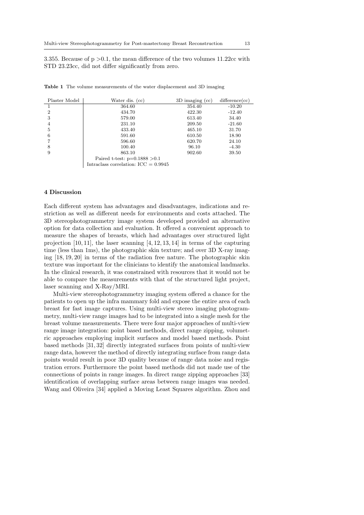3.355. Because of  $p > 0.1$ , the mean difference of the two volumes 11.22cc with STD 23.23cc, did not differ significantly from zero.

| Plaster Model  | Water dis. (cc)                             | $3D$ imaging $(cc)$ | difference(cc) |
|----------------|---------------------------------------------|---------------------|----------------|
|                | 364.60                                      | 354.40              | $-10.20$       |
| $\overline{2}$ | 434.70                                      | 422.30              | $-12.40$       |
| 3              | 579.00                                      | 613.40              | 34.40          |
| 4              | 231.10                                      | 209.50              | $-21.60$       |
| 5              | 433.40                                      | 465.10              | 31.70          |
| 6              | 591.60                                      | 610.50              | 18.90          |
|                | 596.60                                      | 620.70              | 24.10          |
| 8              | 100.40                                      | 96.10               | $-4.30$        |
| 9              | 863.10                                      | 902.60              | 39.50          |
|                | Paired t-test: $p=0.1888 > 0.1$             |                     |                |
|                | Intraclass correlation: $\text{ICC}=0.9945$ |                     |                |

Table 1 The volume measurements of the water displacement and 3D imaging

### 4 Discussion

Each different system has advantages and disadvantages, indications and restriction as well as different needs for environments and costs attached. The 3D stereophotogrammetry image system developed provided an alternative option for data collection and evaluation. It offered a convenient approach to measure the shapes of breasts, which had advantages over structured light projection  $[10, 11]$ , the laser scanning  $[4, 12, 13, 14]$  in terms of the capturing time (less than 1ms), the photographic skin texture; and over 3D X-ray imaging [18, 19, 20] in terms of the radiation free nature. The photographic skin texture was important for the clinicians to identify the anatomical landmarks. In the clinical research, it was constrained with resources that it would not be able to compare the measurements with that of the structured light project, laser scanning and X-Ray/MRI.

Multi-view stereophotogrammetry imaging system offered a chance for the patients to open up the infra mammary fold and expose the entire area of each breast for fast image captures. Using multi-view stereo imaging photogrammetry, multi-view range images had to be integrated into a single mesh for the breast volume measurements. There were four major approaches of multi-view range image integration: point based methods, direct range zipping, volumetric approaches employing implicit surfaces and model based methods. Point based methods [31, 32] directly integrated surfaces from points of multi-view range data, however the method of directly integrating surface from range data points would result in poor 3D quality because of range data noise and registration errors. Furthermore the point based methods did not made use of the connections of points in range images. In direct range zipping approaches [33] identification of overlapping surface areas between range images was needed. Wang and Oliveira [34] applied a Moving Least Squares algorithm. Zhou and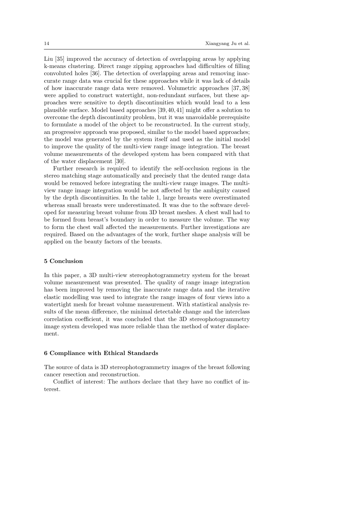Liu [35] improved the accuracy of detection of overlapping areas by applying k-means clustering. Direct range zipping approaches had difficulties of filling convoluted holes [36]. The detection of overlapping areas and removing inaccurate range data was crucial for these approaches while it was lack of details of how inaccurate range data were removed. Volumetric approaches [37, 38] were applied to construct watertight, non-redundant surfaces, but these approaches were sensitive to depth discontinuities which would lead to a less plausible surface. Model based approaches [39, 40, 41] might offer a solution to overcome the depth discontinuity problem, but it was unavoidable prerequisite to formulate a model of the object to be reconstructed. In the current study, an progressive approach was proposed, similar to the model based approaches; the model was generated by the system itself and used as the initial model to improve the quality of the multi-view range image integration. The breast volume measurements of the developed system has been compared with that of the water displacement [30].

Further research is required to identify the self-occlusion regions in the stereo matching stage automatically and precisely that the dented range data would be removed before integrating the multi-view range images. The multiview range image integration would be not affected by the ambiguity caused by the depth discontinuities. In the table 1, large breasts were overestimated whereas small breasts were underestimated. It was due to the software developed for measuring breast volume from 3D breast meshes. A chest wall had to be formed from breast's boundary in order to measure the volume. The way to form the chest wall affected the measurements. Further investigations are required. Based on the advantages of the work, further shape analysis will be applied on the beauty factors of the breasts.

### 5 Conclusion

In this paper, a 3D multi-view stereophotogrammetry system for the breast volume measurement was presented. The quality of range image integration has been improved by removing the inaccurate range data and the iterative elastic modelling was used to integrate the range images of four views into a watertight mesh for breast volume measurement. With statistical analysis results of the mean difference, the minimal detectable change and the interclass correlation coefficient, it was concluded that the 3D stereophotogrammetry image system developed was more reliable than the method of water displacement.

### 6 Compliance with Ethical Standards

The source of data is 3D stereophotogrammetry images of the breast following cancer resection and reconstruction.

Conflict of interest: The authors declare that they have no conflict of interest.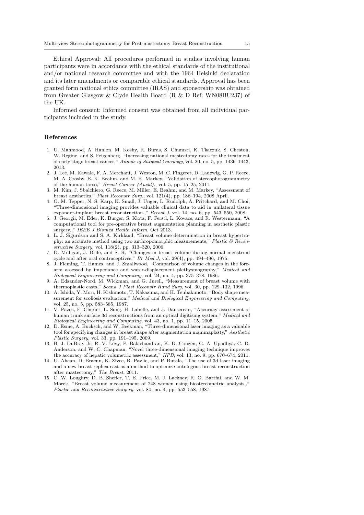Ethical Approval: All procedures performed in studies involving human participants were in accordance with the ethical standards of the institutional and/or national research committee and with the 1964 Helsinki declaration and its later amendments or comparable ethical standards. Approval has been granted form national ethics committee (IRAS) and sponsorship was obtained from Greater Glasgow & Clyde Health Board (R & D Ref: WN08BU237) of the UK.

Informed consent: Informed consent was obtained from all individual participants included in the study.

### References

- 1. U. Mahmood, A. Hanlon, M. Koshy, R. Buras, S. Chumsri, K. Tkaczuk, S. Cheston, W. Regine, and S. Feigenberg, "Increasing national mastectomy rates for the treatment of early stage breast cancer," *Annals of Surgical Oncology*, vol. 20, no. 5, pp. 1436–1443, 2013.
- 2. J. Lee, M. Kawale, F. A. Merchant, J. Weston, M. C. Fingeret, D. Ladewig, G. P. Reece, M. A. Crosby, E. K. Beahm, and M. K. Markey, "Validation of stereophotogrammetry of the human torso," *Breast Cancer (Auckl).*, vol. 5, pp. 15–25, 2011.
- 3. M. Kim, J. Sbalchiero, G. Reece, M. Miller, E. Beahm, and M. Markey, "Assessment of breast aesthetics," *Plast Reconstr Surg.*, vol. 121(4), pp. 186–194, 2008 April.
- 4. O. M. Tepper, N. S. Karp, K. Small, J. Unger, L. Rudolph, A. Pritchard, and M. Choi, "Three-dimensional imaging provides valuable clinical data to aid in unilateral tissue expander-implant breast reconstruction.," *Breast J*, vol. 14, no. 6, pp. 543–550, 2008.
- 5. J. Georgii, M. Eder, K. Burger, S. Klotz, F. Ferstl, L. Kovacs, and R. Westermann, "A computational tool for pre-operative breast augmentation planning in aesthetic plastic surgery.," *IEEE J Biomed Health Inform*, Oct 2013.
- 6. L. J. Sigurdson and S. A. Kirkland, "Breast volume determination in breast hypertrophy: an accurate method using two anthropomorphic measurements," *Plastic & Reconstructive Surgery*, vol. 118(2), pp. 313–320, 2006.
- 7. D. Milligan, J. Drife, and  $S$ . R, "Changes in breast volume during normal menstrual cycle and after oral contraceptives," *Br Med J*, vol. 29(4), pp. 494–496, 1975.
- 8. J. Fleming, T. Hames, and J. Smallwood, "Comparison of volume changes in the forearm assessed by impedance and water-displacement plethysmography," *Medical and Biological Engineering and Computing*, vol. 24, no. 4, pp. 375–378, 1986.
- 9. A. Edsander-Nord, M. Wickman, and G. Jurell, "Measurement of breast volume with thermoplastic casts," *Scand J Plast Reconstr Hand Surg*, vol. 30, pp. 129–132, 1996.
- 10. A. Ishida, Y. Mori, H. Kishimoto, T. Nakazima, and H. Tsubakimoto, "Body shape measurement for scoliosis evaluation," *Medical and Biological Engineering and Computing*, vol. 25, no. 5, pp. 583–585, 1987.
- 11. V. Pazos, F. Cheriet, L. Song, H. Labelle, and J. Dansereau, "Accuracy assessment of human trunk surface 3d reconstructions from an optical digitising system," *Medical and Biological Engineering and Computing*, vol. 43, no. 1, pp. 11–15, 2005.
- 12. D. Esme, A. Bucksch, and W. Beekman, "Three-dimensional laser imaging as a valuable tool for specifying changes in breast shape after augmentation mammaplasty," *Aesthetic Plastic Surgery*, vol. 33, pp. 191–195, 2009.
- 13. B. J. DuBray Jr, R. V. Levy, P. Balachandran, K. D. Conzen, G. A. Upadhya, C. D. Anderson, and W. C. Chapman, "Novel three-dimensional imaging technique improves the accuracy of hepatic volumetric assessment," *HPB*, vol. 13, no. 9, pp. 670–674, 2011.
- 14. U. Ahcan, D. Bracun, K. Zivec, R. Pavlic, and P. Butala, "The use of 3d laser imaging and a new breast replica cast as a method to optimize autologous breast reconstruction after mastectomy," *The Breast*, 2011.
- 15. C. W. Loughry, D. B. Sheffer, T. E. Price, M. J. Lackney, R. G. Bartfai, and W. M. Morek, "Breast volume measurement of 248 women using biostereometric analysis.," *Plastic and Reconstructive Surgery*, vol. 80, no. 4, pp. 553–558, 1987.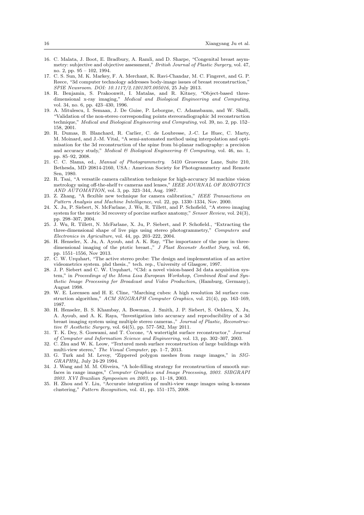- 16. C. Malata, J. Boot, E. Bradbury, A. Ramli, and D. Sharpe, "Congenital breast asymmetry: subjective and objective assessment," *British Journal of Plastic Surgery*, vol. 47, no. 2, pp. 95 – 102, 1994.
- 17. C. S. Sun, M. K. Markey, F. A. Merchant, K. Ravi-Chandar, M. C. Fingeret, and G. P. Reece, "3d computer technology addresses body-image issues of breast reconstruction," *SPIE Newsroom. DOI: 10.1117/2.1201307.005016*, 25 July 2013.
- 18. R. Benjamin, S. Prakoonwit, I. Matalas, and R. Kitney, "Object-based threedimensional x-ray imaging," *Medical and Biological Engineering and Computing*, vol. 34, no. 6, pp. 423–430, 1996.
- 19. A. Mitulescu, I. Semaan, J. De Guise, P. Leborgne, C. Adamsbaum, and W. Skalli, "Validation of the non-stereo corresponding points stereoradiographic 3d reconstruction technique," *Medical and Biological Engineering and Computing*, vol. 39, no. 2, pp. 152– 158, 2001.
- 20. R. Dumas, B. Blanchard, R. Carlier, C. de Loubresse, J.-C. Le Huec, C. Marty, M. Moinard, and J.-M. Vital, "A semi-automated method using interpolation and optimisation for the 3d reconstruction of the spine from bi-planar radiography: a precision and accuracy study," *Medical & Biological Engineering & Computing*, vol. 46, no. 1, pp. 85–92, 2008.
- 21. C. C. Slama, ed., *Manual of Photogrammetry*. 5410 Grosvenor Lane, Suite 210, Bethesda, MD 20814-2160, USA.: American Society for Photogrammetry and Remote Sen, 1980.
- 22. R. Tsai, "A versatile camera calibration technique for high-accuracy 3d machine vision metrology using off-the-shelf tv cameras and lenses," *IEEE JOURNAL OF ROBOTICS AND AUTOMATION*, vol. 3, pp. 323–344, Aug. 1987.
- 23. Z. Zhang, "A flexible new technique for camera calibration," *IEEE Transactions on Pattern Analysis and Machine Intelligence*, vol. 22, pp. 1330–1334, Nov. 2000.
- 24. X. Ju, P. Siebert, N. McFarlane, J. Wu, R. Tillett, and P. Schofield, "A stereo imaging system for the metric 3d recovery of porcine surface anatomy," *Sensor Review*, vol. 24(3), pp. 298–307, 2004.
- 25. J. Wu, R. Tillett, N. McFarlane, X. Ju, P. Siebert, and P. Schofield., "Extracting the three-dimensional shape of live pigs using stereo photogrammetry," *Computers and Electronics in Agriculture*, vol. 44, pp. 203–222, 2004.
- 26. H. Henseler, X. Ju, A. Ayoub, and A. K. Ray, "The importance of the pose in threedimensional imaging of the ptotic breast.," *J Plast Reconstr Aesthet Surg*, vol. 66, pp. 1551–1556, Nov 2013.
- 27. C. W. Urquhart, "The active stereo probe: The design and implementation of an active videometrics system. phd thesis.," tech. rep., University of Glasgow, 1997.
- 28. J. P. Siebert and C. W. Urquhart, "C3d: a novel vision-based 3d data acquisition system," in *Proceedings of the Mona Lisa European Workshop, Combined Real and Synthetic Image Processing for Broadcast and Video Production*, (Hamburg, Germany), August 1998.
- 29. W. E. Lorensen and H. E. Cline, "Marching cubes: A high resolution 3d surface construction algorithm," *ACM SIGGRAPH Computer Graphics*, vol. 21(4), pp. 163–169, 1987.
- 30. H. Henseler, B. S. Khambay, A. Bowman, J. Smith, J. P. Siebert, S. Oehlera, X. Ju, A. Ayoub, and A. K. Raya, "Investigation into accuracy and reproducibility of a 3d breast imaging system using multiple stereo cameras.," *Journal of Plastic, Reconstructive & Aesthetic Surgery*, vol. 64(5), pp. 577–582, May 2011.
- 31. T. K. Dey, S. Goswami, and T. Cocone, "A watertight surface reconstructor," *Journal of Computer and Information Science and Engineering*, vol. 13, pp. 302–307, 2003.
- 32. C. Zhu and W. K. Leow, "Textured mesh surface reconstruction of large buildings with multi-view stereo," *The Visual Computer*, pp. 1–7, 2013.
- 33. G. Turk and M. Levoy, "Zippered polygon meshes from range images," in *SIG-GRAPH94*, July 24-29 1994.
- 34. J. Wang and M. M. Oliveira, "A hole-filling strategy for reconstruction of smooth surfaces in range images," *Computer Graphics and Image Processing, 2003. SIBGRAPI 2003. XVI Brazilian Symposium on 2003*, pp. 11–18, 2003.
- 35. H. Zhou and Y. Liu, "Accurate integration of multi-view range images using k-means clustering," *Pattern Recognition*, vol. 41, pp. 151–175, 2008.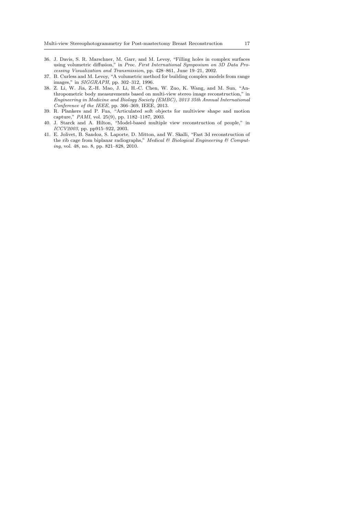- 36. J. Davis, S. R. Marschner, M. Garr, and M. Levoy, "Filling holes in complex surfaces using volumetric diffusion," in *Proc. First International Symposium on 3D Data Processing Visualization and Transmission*, pp. 428–861, June 19–21, 2002.
- 37. B. Curless and M. Levoy, "A volumetric method for building complex models from range images," in *SIGGRAPH*, pp. 302–312, 1996.
- 38. Z. Li, W. Jia, Z.-H. Mao, J. Li, H.-C. Chen, W. Zuo, K. Wang, and M. Sun, "Anthropometric body measurements based on multi-view stereo image reconstruction," in *Engineering in Medicine and Biology Society (EMBC), 2013 35th Annual International Conference of the IEEE*, pp. 366–369, IEEE, 2013.
- 39. R. Plankers and P. Fua, "Articulated soft objects for multiview shape and motion capture," *PAMI*, vol. 25(9), pp. 1182–1187, 2003.
- 40. J. Starck and A. Hilton, "Model-based multiple view reconstruction of people," in *ICCV2003*, pp. pp915–922, 2003.
- 41. E. Jolivet, B. Sandoz, S. Laporte, D. Mitton, and W. Skalli, "Fast 3d reconstruction of the rib cage from biplanar radiographs," *Medical & Biological Engineering & Computing*, vol. 48, no. 8, pp. 821–828, 2010.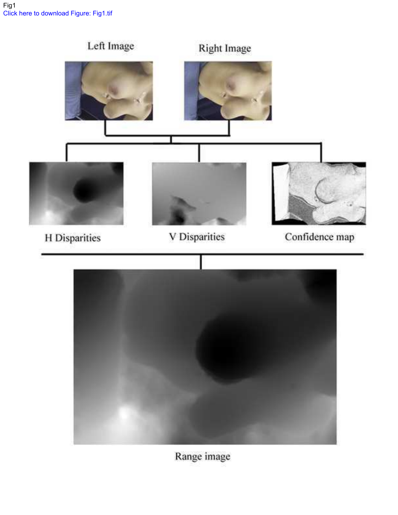

Range image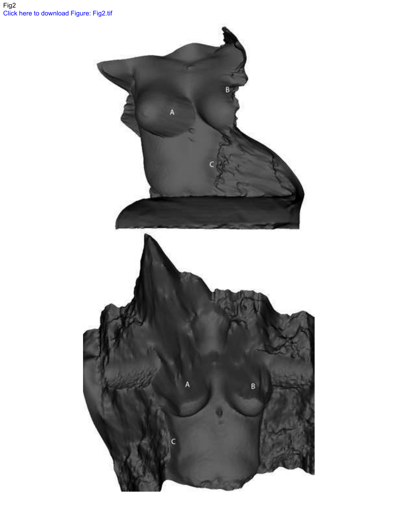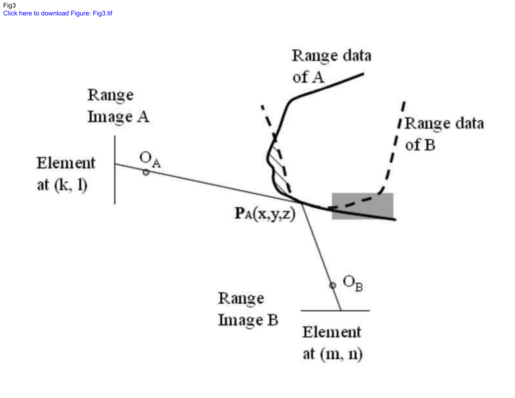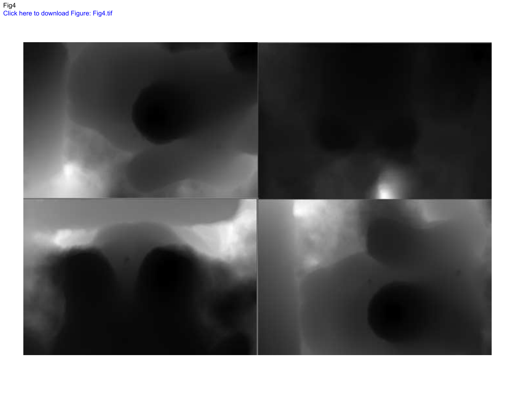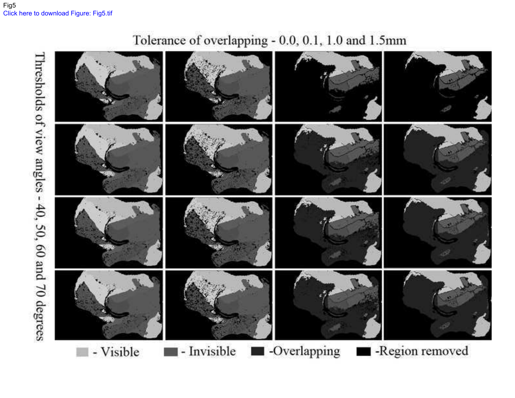# Inresholds of view angles - 40, 50, 60 and 70 degrees - Invisible -Overlapping -Region removed - Visible m.

Tolerance of overlapping - 0.0, 0.1, 1.0 and 1.5mm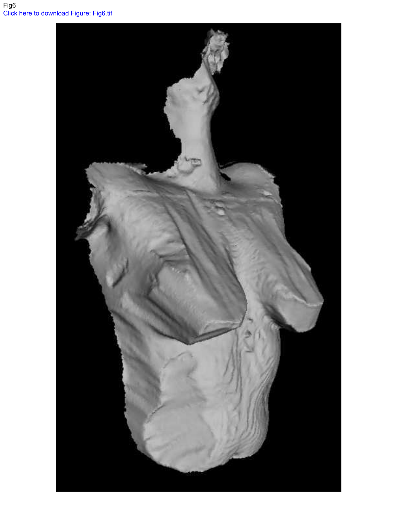